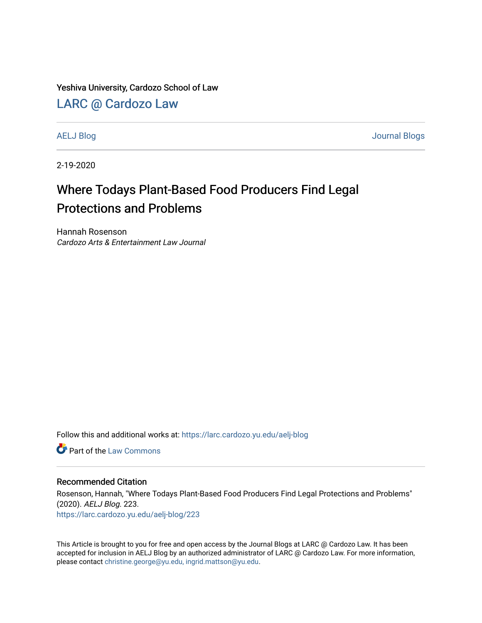Yeshiva University, Cardozo School of Law

## [LARC @ Cardozo Law](https://larc.cardozo.yu.edu/)

[AELJ Blog](https://larc.cardozo.yu.edu/aelj-blog) [Journal Blogs](https://larc.cardozo.yu.edu/journal-blogs) 

2-19-2020

## Where Todays Plant-Based Food Producers Find Legal Protections and Problems

Hannah Rosenson Cardozo Arts & Entertainment Law Journal

Follow this and additional works at: [https://larc.cardozo.yu.edu/aelj-blog](https://larc.cardozo.yu.edu/aelj-blog?utm_source=larc.cardozo.yu.edu%2Faelj-blog%2F223&utm_medium=PDF&utm_campaign=PDFCoverPages) 

**C** Part of the [Law Commons](http://network.bepress.com/hgg/discipline/578?utm_source=larc.cardozo.yu.edu%2Faelj-blog%2F223&utm_medium=PDF&utm_campaign=PDFCoverPages)

## Recommended Citation

Rosenson, Hannah, "Where Todays Plant-Based Food Producers Find Legal Protections and Problems" (2020). AELJ Blog. 223. [https://larc.cardozo.yu.edu/aelj-blog/223](https://larc.cardozo.yu.edu/aelj-blog/223?utm_source=larc.cardozo.yu.edu%2Faelj-blog%2F223&utm_medium=PDF&utm_campaign=PDFCoverPages) 

This Article is brought to you for free and open access by the Journal Blogs at LARC @ Cardozo Law. It has been accepted for inclusion in AELJ Blog by an authorized administrator of LARC @ Cardozo Law. For more information, please contact [christine.george@yu.edu, ingrid.mattson@yu.edu.](mailto:christine.george@yu.edu,%20ingrid.mattson@yu.edu)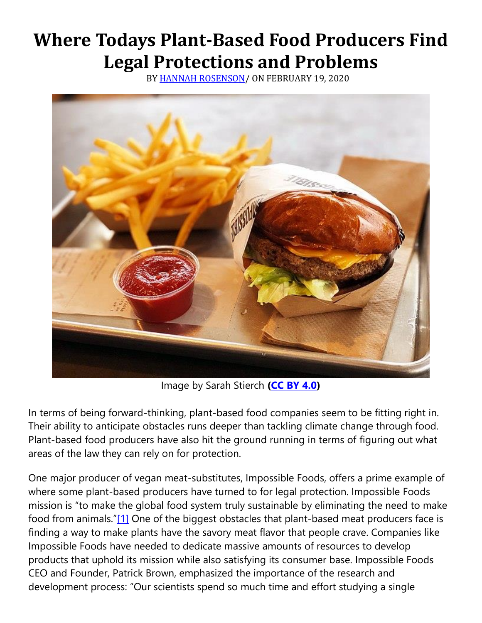## **Where Todays Plant-Based Food Producers Find Legal Protections and Problems**

BY [HANNAH ROSENSON/](https://cardozoaelj.com/author/hannah-rosenson/) ON FEBRUARY 19, 2020



Image by Sarah Stierch **[\(CC BY 4.0\)](https://creativecommons.org/licenses/by/4.0/)**

In terms of being forward-thinking, plant-based food companies seem to be fitting right in. Their ability to anticipate obstacles runs deeper than tackling climate change through food. Plant-based food producers have also hit the ground running in terms of figuring out what areas of the law they can rely on for protection.

One major producer of vegan meat-substitutes, Impossible Foods, offers a prime example of where some plant-based producers have turned to for legal protection. Impossible Foods mission is "to make the global food system truly sustainable by eliminating the need to make food from animals."[\[1\]](https://cardozoaelj.com/2020/02/19/where-todays-plant-based-food-producers-find-legal-protections-and-problems/#_ftn1) One of the biggest obstacles that plant-based meat producers face is finding a way to make plants have the savory meat flavor that people crave. Companies like Impossible Foods have needed to dedicate massive amounts of resources to develop products that uphold its mission while also satisfying its consumer base. Impossible Foods CEO and Founder, Patrick Brown, emphasized the importance of the research and development process: "Our scientists spend so much time and effort studying a single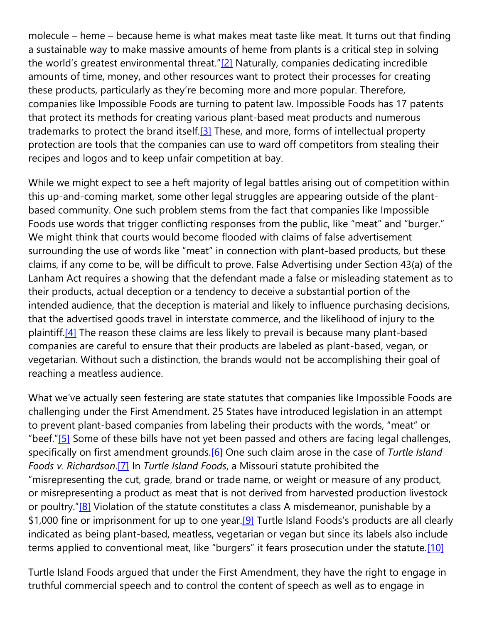molecule – heme – because heme is what makes meat taste like meat. It turns out that finding a sustainable way to make massive amounts of heme from plants is a critical step in solving the world's greatest environmental threat." $[2]$  Naturally, companies dedicating incredible amounts of time, money, and other resources want to protect their processes for creating these products, particularly as they're becoming more and more popular. Therefore, companies like Impossible Foods are turning to patent law. Impossible Foods has 17 patents that protect its methods for creating various plant-based meat products and numerous trademarks to protect the brand itself.<sup>[3]</sup> These, and more, forms of intellectual property protection are tools that the companies can use to ward off competitors from stealing their recipes and logos and to keep unfair competition at bay.

While we might expect to see a heft majority of legal battles arising out of competition within this up-and-coming market, some other legal struggles are appearing outside of the plantbased community. One such problem stems from the fact that companies like Impossible Foods use words that trigger conflicting responses from the public, like "meat" and "burger." We might think that courts would become flooded with claims of false advertisement surrounding the use of words like "meat" in connection with plant-based products, but these claims, if any come to be, will be difficult to prove. False Advertising under Section 43(a) of the Lanham Act requires a showing that the defendant made a false or misleading statement as to their products, actual deception or a tendency to deceive a substantial portion of the intended audience, that the deception is material and likely to influence purchasing decisions, that the advertised goods travel in interstate commerce, and the likelihood of injury to the plaintiff.<sup>[4]</sup> The reason these claims are less likely to prevail is because many plant-based companies are careful to ensure that their products are labeled as plant-based, vegan, or vegetarian. Without such a distinction, the brands would not be accomplishing their goal of reaching a meatless audience.

What we've actually seen festering are state statutes that companies like Impossible Foods are challenging under the First Amendment. 25 States have introduced legislation in an attempt to prevent plant-based companies from labeling their products with the words, "meat" or "beef."[\[5\]](https://cardozoaelj.com/2020/02/19/where-todays-plant-based-food-producers-find-legal-protections-and-problems/#_ftn5) Some of these bills have not yet been passed and others are facing legal challenges, specifically on first amendment grounds[.\[6\]](https://cardozoaelj.com/2020/02/19/where-todays-plant-based-food-producers-find-legal-protections-and-problems/#_ftn6) One such claim arose in the case of *Turtle Island Foods v. Richardson*[.\[7\]](https://cardozoaelj.com/2020/02/19/where-todays-plant-based-food-producers-find-legal-protections-and-problems/#_ftn7) In *Turtle Island Foods*, a Missouri statute prohibited the "misrepresenting the cut, grade, brand or trade name, or weight or measure of any product, or misrepresenting a product as meat that is not derived from harvested production livestock or poultry."[\[8\]](https://cardozoaelj.com/2020/02/19/where-todays-plant-based-food-producers-find-legal-protections-and-problems/#_ftn8) Violation of the statute constitutes a class A misdemeanor, punishable by a \$1,000 fine or imprisonment for up to one year.<sup>[9]</sup> Turtle Island Foods's products are all clearly indicated as being plant-based, meatless, vegetarian or vegan but since its labels also include terms applied to conventional meat, like "burgers" it fears prosecution under the statute[.\[10\]](https://cardozoaelj.com/2020/02/19/where-todays-plant-based-food-producers-find-legal-protections-and-problems/#_ftn10)

Turtle Island Foods argued that under the First Amendment, they have the right to engage in truthful commercial speech and to control the content of speech as well as to engage in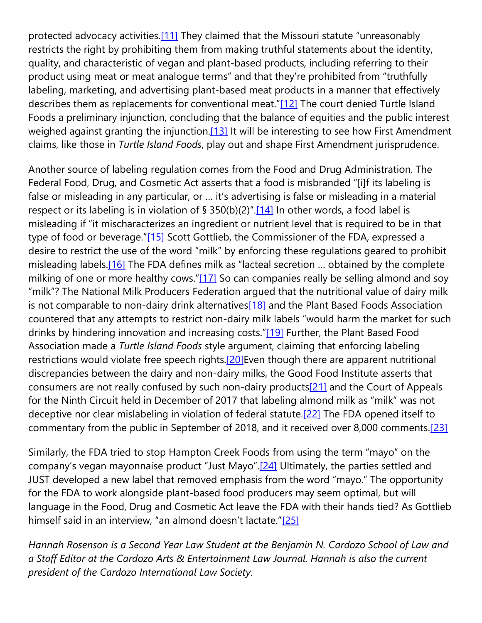protected advocacy activities[.\[11\]](https://cardozoaelj.com/2020/02/19/where-todays-plant-based-food-producers-find-legal-protections-and-problems/#_ftn11) They claimed that the Missouri statute "unreasonably restricts the right by prohibiting them from making truthful statements about the identity, quality, and characteristic of vegan and plant-based products, including referring to their product using meat or meat analogue terms" and that they're prohibited from "truthfully labeling, marketing, and advertising plant-based meat products in a manner that effectively describes them as replacements for conventional meat."[\[12\]](https://cardozoaelj.com/2020/02/19/where-todays-plant-based-food-producers-find-legal-protections-and-problems/#_ftn12) The court denied Turtle Island Foods a preliminary injunction, concluding that the balance of equities and the public interest weighed against granting the injunction.<sup>[13]</sup> It will be interesting to see how First Amendment claims, like those in *Turtle Island Foods*, play out and shape First Amendment jurisprudence.

Another source of labeling regulation comes from the Food and Drug Administration. The Federal Food, Drug, and Cosmetic Act asserts that a food is misbranded "[i]f its labeling is false or misleading in any particular, or … it's advertising is false or misleading in a material respect or its labeling is in violation of  $\S$  350(b)(2)".[\[14\]](https://cardozoaelj.com/2020/02/19/where-todays-plant-based-food-producers-find-legal-protections-and-problems/#_ftn14) In other words, a food label is misleading if "it mischaracterizes an ingredient or nutrient level that is required to be in that type of food or beverage."[\[15\]](https://cardozoaelj.com/2020/02/19/where-todays-plant-based-food-producers-find-legal-protections-and-problems/#_ftn15) Scott Gottlieb, the Commissioner of the FDA, expressed a desire to restrict the use of the word "milk" by enforcing these regulations geared to prohibit misleading labels.<sup>[16]</sup> The FDA defines milk as "lacteal secretion ... obtained by the complete milking of one or more healthy cows."[\[17\]](https://cardozoaelj.com/2020/02/19/where-todays-plant-based-food-producers-find-legal-protections-and-problems/#_ftn17) So can companies really be selling almond and soy "milk"? The National Milk Producers Federation argued that the nutritional value of dairy milk is not comparable to non-dairy drink alternatives<sup>[18]</sup> and the Plant Based Foods Association countered that any attempts to restrict non-dairy milk labels "would harm the market for such drinks by hindering innovation and increasing costs."[\[19\]](https://cardozoaelj.com/2020/02/19/where-todays-plant-based-food-producers-find-legal-protections-and-problems/#_ftn19) Further, the Plant Based Food Association made a *Turtle Island Foods* style argument, claiming that enforcing labeling restrictions would violate free speech rights.<sup>[20]</sup>Even though there are apparent nutritional discrepancies between the dairy and non-dairy milks, the Good Food Institute asserts that consumers are not really confused by such non-dairy products<sup>[21]</sup> and the Court of Appeals for the Ninth Circuit held in December of 2017 that labeling almond milk as "milk" was not deceptive nor clear mislabeling in violation of federal statute[.\[22\]](https://cardozoaelj.com/2020/02/19/where-todays-plant-based-food-producers-find-legal-protections-and-problems/#_ftn22) The FDA opened itself to commentary from the public in September of 2018, and it received over 8,000 comments[.\[23\]](https://cardozoaelj.com/2020/02/19/where-todays-plant-based-food-producers-find-legal-protections-and-problems/#_ftn23)

Similarly, the FDA tried to stop Hampton Creek Foods from using the term "mayo" on the company's vegan mayonnaise product "Just Mayo".[\[24\]](https://cardozoaelj.com/2020/02/19/where-todays-plant-based-food-producers-find-legal-protections-and-problems/#_ftn24) Ultimately, the parties settled and JUST developed a new label that removed emphasis from the word "mayo." The opportunity for the FDA to work alongside plant-based food producers may seem optimal, but will language in the Food, Drug and Cosmetic Act leave the FDA with their hands tied? As Gottlieb himself said in an interview, "an almond doesn't lactate."[\[25\]](https://cardozoaelj.com/2020/02/19/where-todays-plant-based-food-producers-find-legal-protections-and-problems/#_ftn25)

*Hannah Rosenson is a Second Year Law Student at the Benjamin N. Cardozo School of Law and a Staff Editor at the Cardozo Arts & Entertainment Law Journal. Hannah is also the current president of the Cardozo International Law Society.*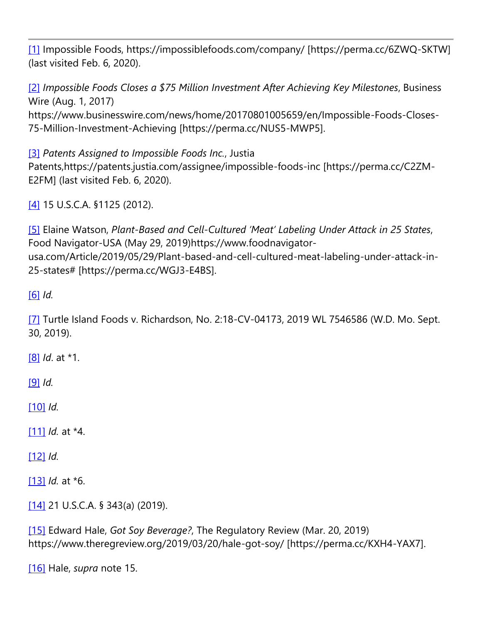[\[1\]](https://cardozoaelj.com/2020/02/19/where-todays-plant-based-food-producers-find-legal-protections-and-problems/#_ftnref1) Impossible Foods, https://impossiblefoods.com/company/ [https://perma.cc/6ZWQ-SKTW] (last visited Feb. 6, 2020).

[\[2\]](https://cardozoaelj.com/2020/02/19/where-todays-plant-based-food-producers-find-legal-protections-and-problems/#_ftnref2) *Impossible Foods Closes a \$75 Million Investment After Achieving Key Milestones*, Business Wire (Aug. 1, 2017) https://www.businesswire.com/news/home/20170801005659/en/Impossible-Foods-Closes-75-Million-Investment-Achieving [https://perma.cc/NUS5-MWP5].

[\[3\]](https://cardozoaelj.com/2020/02/19/where-todays-plant-based-food-producers-find-legal-protections-and-problems/#_ftnref3) *Patents Assigned to Impossible Foods Inc.*, Justia Patents,https://patents.justia.com/assignee/impossible-foods-inc [https://perma.cc/C2ZM-E2FM] (last visited Feb. 6, 2020).

[\[4\]](https://cardozoaelj.com/2020/02/19/where-todays-plant-based-food-producers-find-legal-protections-and-problems/#_ftnref4) 15 U.S.C.A. §1125 (2012).

[\[5\]](https://cardozoaelj.com/2020/02/19/where-todays-plant-based-food-producers-find-legal-protections-and-problems/#_ftnref5) Elaine Watson, *Plant-Based and Cell-Cultured 'Meat' Labeling Under Attack in 25 States*, Food Navigator-USA (May 29, 2019)https://www.foodnavigatorusa.com/Article/2019/05/29/Plant-based-and-cell-cultured-meat-labeling-under-attack-in-25-states# [https://perma.cc/WGJ3-E4BS].

[\[6\]](https://cardozoaelj.com/2020/02/19/where-todays-plant-based-food-producers-find-legal-protections-and-problems/#_ftnref6) *Id.*

[\[7\]](https://cardozoaelj.com/2020/02/19/where-todays-plant-based-food-producers-find-legal-protections-and-problems/#_ftnref7) Turtle Island Foods v. Richardson, No. 2:18-CV-04173, 2019 WL 7546586 (W.D. Mo. Sept. 30, 2019).

[\[8\]](https://cardozoaelj.com/2020/02/19/where-todays-plant-based-food-producers-find-legal-protections-and-problems/#_ftnref8) *Id*. at \*1.

[\[9\]](https://cardozoaelj.com/2020/02/19/where-todays-plant-based-food-producers-find-legal-protections-and-problems/#_ftnref9) *Id.*

[\[10\]](https://cardozoaelj.com/2020/02/19/where-todays-plant-based-food-producers-find-legal-protections-and-problems/#_ftnref10) *Id.*

[\[11\]](https://cardozoaelj.com/2020/02/19/where-todays-plant-based-food-producers-find-legal-protections-and-problems/#_ftnref11) *Id.* at \*4.

[\[12\]](https://cardozoaelj.com/2020/02/19/where-todays-plant-based-food-producers-find-legal-protections-and-problems/#_ftnref12) *Id.*

[\[13\]](https://cardozoaelj.com/2020/02/19/where-todays-plant-based-food-producers-find-legal-protections-and-problems/#_ftnref13) *Id.* at \*6.

[\[14\]](https://cardozoaelj.com/2020/02/19/where-todays-plant-based-food-producers-find-legal-protections-and-problems/#_ftnref14) 21 U.S.C.A. § 343(a) (2019).

[\[15\]](https://cardozoaelj.com/2020/02/19/where-todays-plant-based-food-producers-find-legal-protections-and-problems/#_ftnref15) Edward Hale, *Got Soy Beverage?*, The Regulatory Review (Mar. 20, 2019) https://www.theregreview.org/2019/03/20/hale-got-soy/ [https://perma.cc/KXH4-YAX7].

[\[16\]](https://cardozoaelj.com/2020/02/19/where-todays-plant-based-food-producers-find-legal-protections-and-problems/#_ftnref16) Hale, *supra* note 15.